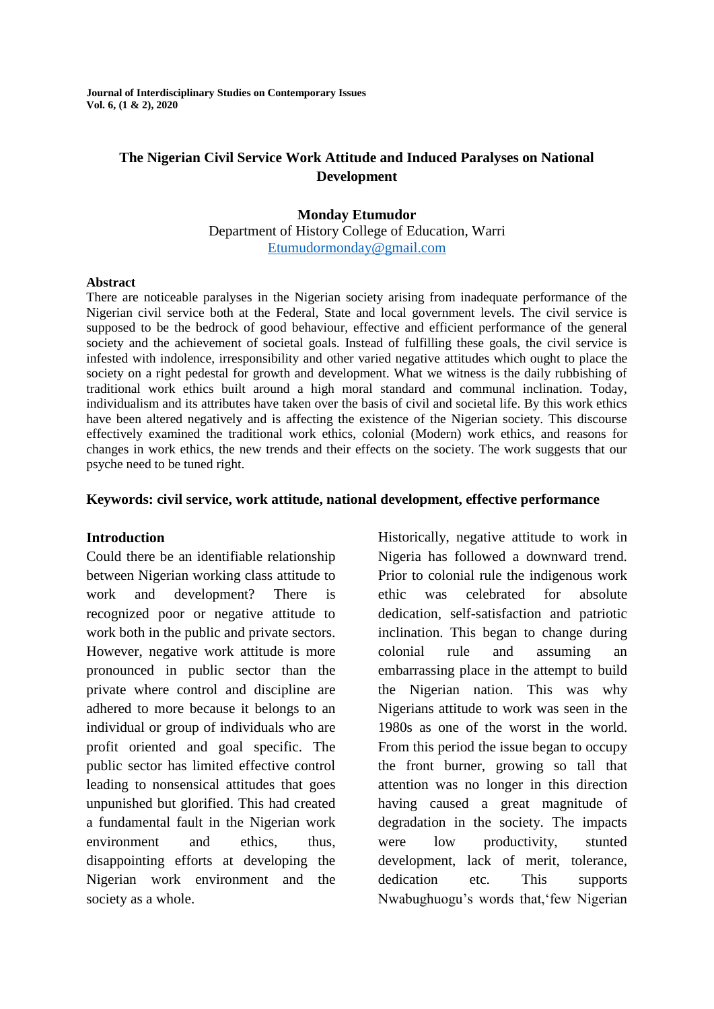**Journal of Interdisciplinary Studies on Contemporary Issues Vol. 6, (1 & 2), 2020**

### **The Nigerian Civil Service Work Attitude and Induced Paralyses on National Development**

#### **Monday Etumudor** Department of History College of Education, Warri [Etumudormonday@gmail.com](mailto:Etumudormonday@gmail.com)

#### **Abstract**

There are noticeable paralyses in the Nigerian society arising from inadequate performance of the Nigerian civil service both at the Federal, State and local government levels. The civil service is supposed to be the bedrock of good behaviour, effective and efficient performance of the general society and the achievement of societal goals. Instead of fulfilling these goals, the civil service is infested with indolence, irresponsibility and other varied negative attitudes which ought to place the society on a right pedestal for growth and development. What we witness is the daily rubbishing of traditional work ethics built around a high moral standard and communal inclination. Today, individualism and its attributes have taken over the basis of civil and societal life. By this work ethics have been altered negatively and is affecting the existence of the Nigerian society. This discourse effectively examined the traditional work ethics, colonial (Modern) work ethics, and reasons for changes in work ethics, the new trends and their effects on the society. The work suggests that our psyche need to be tuned right.

### **Keywords: civil service, work attitude, national development, effective performance**

#### **Introduction**

Could there be an identifiable relationship between Nigerian working class attitude to work and development? There is recognized poor or negative attitude to work both in the public and private sectors. However, negative work attitude is more pronounced in public sector than the private where control and discipline are adhered to more because it belongs to an individual or group of individuals who are profit oriented and goal specific. The public sector has limited effective control leading to nonsensical attitudes that goes unpunished but glorified. This had created a fundamental fault in the Nigerian work environment and ethics, thus, disappointing efforts at developing the Nigerian work environment and the society as a whole.

Historically, negative attitude to work in Nigeria has followed a downward trend. Prior to colonial rule the indigenous work ethic was celebrated for absolute dedication, self-satisfaction and patriotic inclination. This began to change during colonial rule and assuming an embarrassing place in the attempt to build the Nigerian nation. This was why Nigerians attitude to work was seen in the 1980s as one of the worst in the world. From this period the issue began to occupy the front burner, growing so tall that attention was no longer in this direction having caused a great magnitude of degradation in the society. The impacts were low productivity, stunted development, lack of merit, tolerance, dedication etc. This supports Nwabughuogu"s words that,"few Nigerian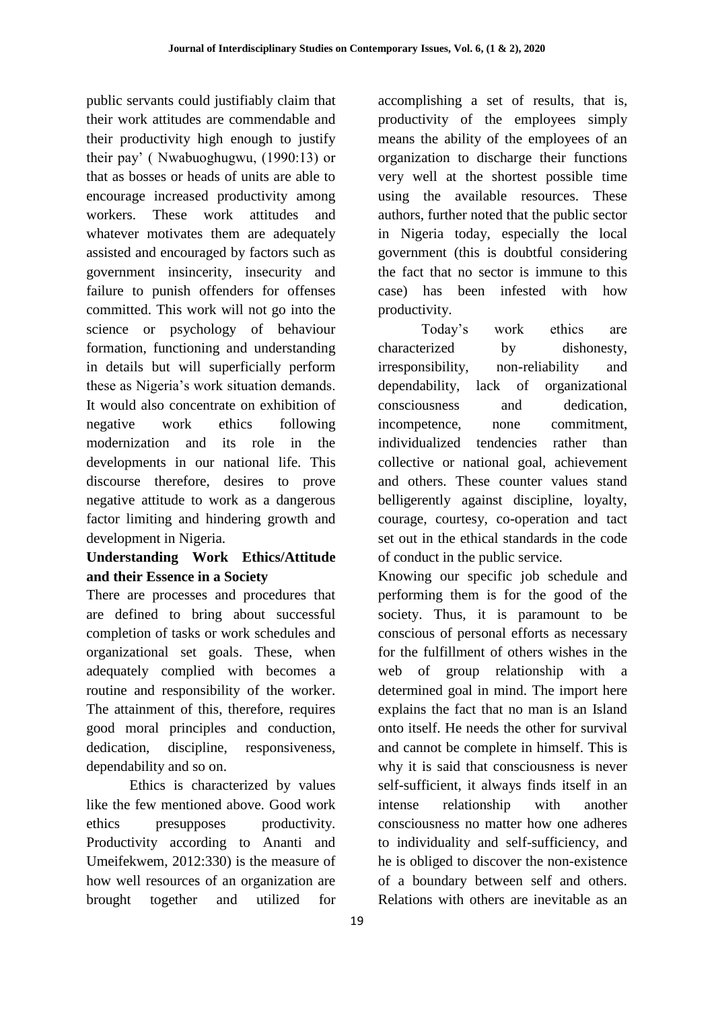public servants could justifiably claim that their work attitudes are commendable and their productivity high enough to justify their pay" ( Nwabuoghugwu, (1990:13) or that as bosses or heads of units are able to encourage increased productivity among workers. These work attitudes and whatever motivates them are adequately assisted and encouraged by factors such as government insincerity, insecurity and failure to punish offenders for offenses committed. This work will not go into the science or psychology of behaviour formation, functioning and understanding in details but will superficially perform these as Nigeria"s work situation demands. It would also concentrate on exhibition of negative work ethics following modernization and its role in the developments in our national life. This discourse therefore, desires to prove negative attitude to work as a dangerous factor limiting and hindering growth and development in Nigeria.

# **Understanding Work Ethics/Attitude and their Essence in a Society**

There are processes and procedures that are defined to bring about successful completion of tasks or work schedules and organizational set goals. These, when adequately complied with becomes a routine and responsibility of the worker. The attainment of this, therefore, requires good moral principles and conduction, dedication, discipline, responsiveness, dependability and so on.

Ethics is characterized by values like the few mentioned above. Good work ethics presupposes productivity. Productivity according to Ananti and Umeifekwem, 2012:330) is the measure of how well resources of an organization are brought together and utilized for accomplishing a set of results, that is, productivity of the employees simply means the ability of the employees of an organization to discharge their functions very well at the shortest possible time using the available resources. These authors, further noted that the public sector in Nigeria today, especially the local government (this is doubtful considering the fact that no sector is immune to this case) has been infested with how productivity.

Today"s work ethics are characterized by dishonesty, irresponsibility, non-reliability and dependability, lack of organizational consciousness and dedication, incompetence, none commitment, individualized tendencies rather than collective or national goal, achievement and others. These counter values stand belligerently against discipline, loyalty, courage, courtesy, co-operation and tact set out in the ethical standards in the code of conduct in the public service.

Knowing our specific job schedule and performing them is for the good of the society. Thus, it is paramount to be conscious of personal efforts as necessary for the fulfillment of others wishes in the web of group relationship with a determined goal in mind. The import here explains the fact that no man is an Island onto itself. He needs the other for survival and cannot be complete in himself. This is why it is said that consciousness is never self-sufficient, it always finds itself in an intense relationship with another consciousness no matter how one adheres to individuality and self-sufficiency, and he is obliged to discover the non-existence of a boundary between self and others. Relations with others are inevitable as an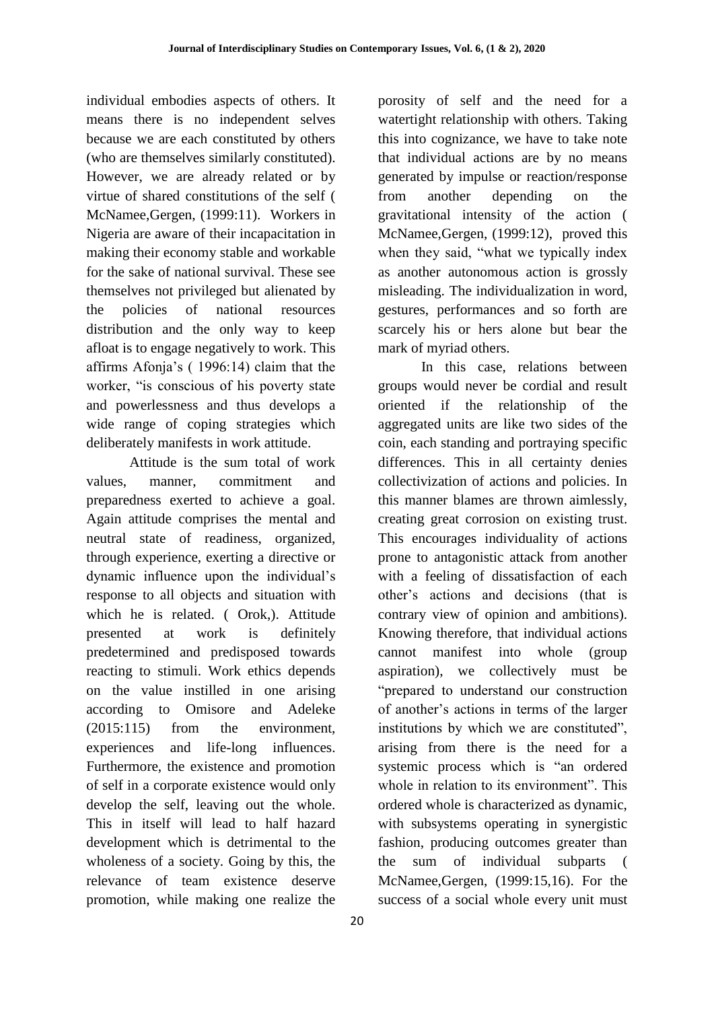individual embodies aspects of others. It means there is no independent selves because we are each constituted by others (who are themselves similarly constituted). However, we are already related or by virtue of shared constitutions of the self ( McNamee,Gergen, (1999:11). Workers in Nigeria are aware of their incapacitation in making their economy stable and workable for the sake of national survival. These see themselves not privileged but alienated by the policies of national resources distribution and the only way to keep afloat is to engage negatively to work. This affirms Afonja"s ( 1996:14) claim that the worker, "is conscious of his poverty state and powerlessness and thus develops a wide range of coping strategies which deliberately manifests in work attitude.

Attitude is the sum total of work values, manner, commitment and preparedness exerted to achieve a goal. Again attitude comprises the mental and neutral state of readiness, organized, through experience, exerting a directive or dynamic influence upon the individual"s response to all objects and situation with which he is related. ( Orok,). Attitude presented at work is definitely predetermined and predisposed towards reacting to stimuli. Work ethics depends on the value instilled in one arising according to Omisore and Adeleke (2015:115) from the environment, experiences and life-long influences. Furthermore, the existence and promotion of self in a corporate existence would only develop the self, leaving out the whole. This in itself will lead to half hazard development which is detrimental to the wholeness of a society. Going by this, the relevance of team existence deserve promotion, while making one realize the

20

porosity of self and the need for a watertight relationship with others. Taking this into cognizance, we have to take note that individual actions are by no means generated by impulse or reaction/response from another depending on the gravitational intensity of the action ( McNamee,Gergen, (1999:12), proved this when they said, "what we typically index as another autonomous action is grossly misleading. The individualization in word, gestures, performances and so forth are scarcely his or hers alone but bear the mark of myriad others.

In this case, relations between groups would never be cordial and result oriented if the relationship of the aggregated units are like two sides of the coin, each standing and portraying specific differences. This in all certainty denies collectivization of actions and policies. In this manner blames are thrown aimlessly, creating great corrosion on existing trust. This encourages individuality of actions prone to antagonistic attack from another with a feeling of dissatisfaction of each other"s actions and decisions (that is contrary view of opinion and ambitions). Knowing therefore, that individual actions cannot manifest into whole (group aspiration), we collectively must be "prepared to understand our construction of another"s actions in terms of the larger institutions by which we are constituted", arising from there is the need for a systemic process which is "an ordered whole in relation to its environment". This ordered whole is characterized as dynamic, with subsystems operating in synergistic fashion, producing outcomes greater than the sum of individual subparts ( McNamee,Gergen, (1999:15,16). For the success of a social whole every unit must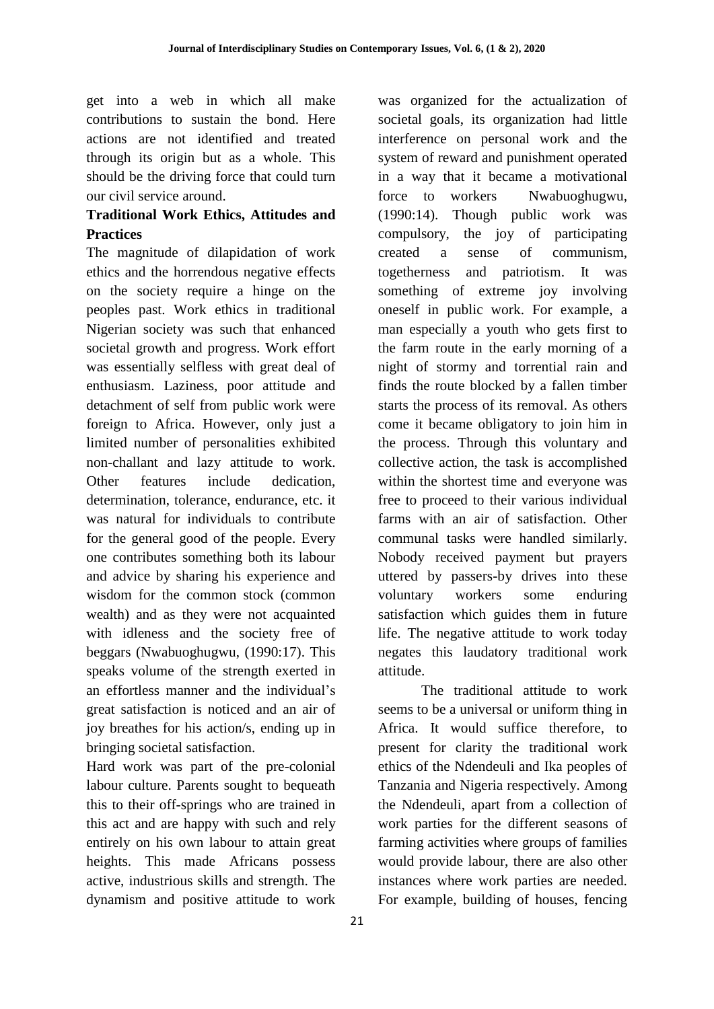get into a web in which all make contributions to sustain the bond. Here actions are not identified and treated through its origin but as a whole. This should be the driving force that could turn our civil service around.

## **Traditional Work Ethics, Attitudes and Practices**

The magnitude of dilapidation of work ethics and the horrendous negative effects on the society require a hinge on the peoples past. Work ethics in traditional Nigerian society was such that enhanced societal growth and progress. Work effort was essentially selfless with great deal of enthusiasm. Laziness, poor attitude and detachment of self from public work were foreign to Africa. However, only just a limited number of personalities exhibited non-challant and lazy attitude to work. Other features include dedication, determination, tolerance, endurance, etc. it was natural for individuals to contribute for the general good of the people. Every one contributes something both its labour and advice by sharing his experience and wisdom for the common stock (common wealth) and as they were not acquainted with idleness and the society free of beggars (Nwabuoghugwu, (1990:17). This speaks volume of the strength exerted in an effortless manner and the individual"s great satisfaction is noticed and an air of joy breathes for his action/s, ending up in bringing societal satisfaction.

Hard work was part of the pre-colonial labour culture. Parents sought to bequeath this to their off-springs who are trained in this act and are happy with such and rely entirely on his own labour to attain great heights. This made Africans possess active, industrious skills and strength. The dynamism and positive attitude to work

21

was organized for the actualization of societal goals, its organization had little interference on personal work and the system of reward and punishment operated in a way that it became a motivational force to workers Nwabuoghugwu, (1990:14). Though public work was compulsory, the joy of participating created a sense of communism, togetherness and patriotism. It was something of extreme joy involving oneself in public work. For example, a man especially a youth who gets first to the farm route in the early morning of a night of stormy and torrential rain and finds the route blocked by a fallen timber starts the process of its removal. As others come it became obligatory to join him in the process. Through this voluntary and collective action, the task is accomplished within the shortest time and everyone was free to proceed to their various individual farms with an air of satisfaction. Other communal tasks were handled similarly. Nobody received payment but prayers uttered by passers-by drives into these voluntary workers some enduring satisfaction which guides them in future life. The negative attitude to work today negates this laudatory traditional work attitude.

The traditional attitude to work seems to be a universal or uniform thing in Africa. It would suffice therefore, to present for clarity the traditional work ethics of the Ndendeuli and Ika peoples of Tanzania and Nigeria respectively. Among the Ndendeuli, apart from a collection of work parties for the different seasons of farming activities where groups of families would provide labour, there are also other instances where work parties are needed. For example, building of houses, fencing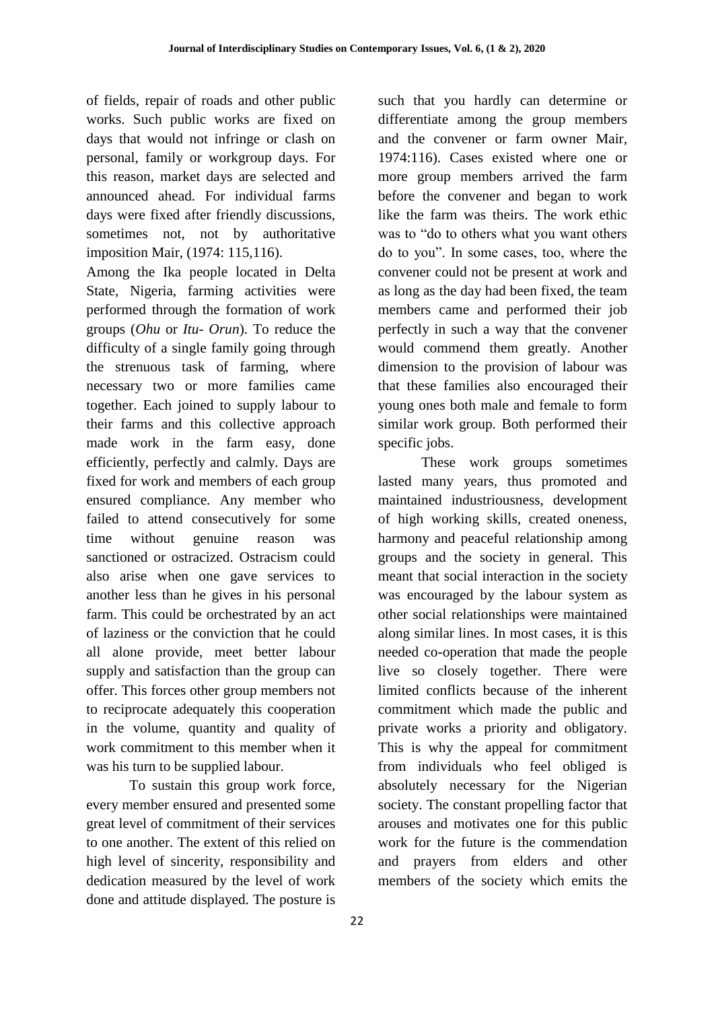of fields, repair of roads and other public works. Such public works are fixed on days that would not infringe or clash on personal, family or workgroup days. For this reason, market days are selected and announced ahead. For individual farms days were fixed after friendly discussions, sometimes not, not by authoritative imposition Mair, (1974: 115,116).

Among the Ika people located in Delta State, Nigeria, farming activities were performed through the formation of work groups (*Ohu* or *Itu- Orun*). To reduce the difficulty of a single family going through the strenuous task of farming, where necessary two or more families came together. Each joined to supply labour to their farms and this collective approach made work in the farm easy, done efficiently, perfectly and calmly. Days are fixed for work and members of each group ensured compliance. Any member who failed to attend consecutively for some time without genuine reason was sanctioned or ostracized. Ostracism could also arise when one gave services to another less than he gives in his personal farm. This could be orchestrated by an act of laziness or the conviction that he could all alone provide, meet better labour supply and satisfaction than the group can offer. This forces other group members not to reciprocate adequately this cooperation in the volume, quantity and quality of work commitment to this member when it was his turn to be supplied labour.

To sustain this group work force, every member ensured and presented some great level of commitment of their services to one another. The extent of this relied on high level of sincerity, responsibility and dedication measured by the level of work done and attitude displayed. The posture is

such that you hardly can determine or differentiate among the group members and the convener or farm owner Mair, 1974:116). Cases existed where one or more group members arrived the farm before the convener and began to work like the farm was theirs. The work ethic was to "do to others what you want others do to you". In some cases, too, where the convener could not be present at work and as long as the day had been fixed, the team members came and performed their job perfectly in such a way that the convener would commend them greatly. Another dimension to the provision of labour was that these families also encouraged their young ones both male and female to form similar work group. Both performed their specific jobs.

These work groups sometimes lasted many years, thus promoted and maintained industriousness, development of high working skills, created oneness, harmony and peaceful relationship among groups and the society in general. This meant that social interaction in the society was encouraged by the labour system as other social relationships were maintained along similar lines. In most cases, it is this needed co-operation that made the people live so closely together. There were limited conflicts because of the inherent commitment which made the public and private works a priority and obligatory. This is why the appeal for commitment from individuals who feel obliged is absolutely necessary for the Nigerian society. The constant propelling factor that arouses and motivates one for this public work for the future is the commendation and prayers from elders and other members of the society which emits the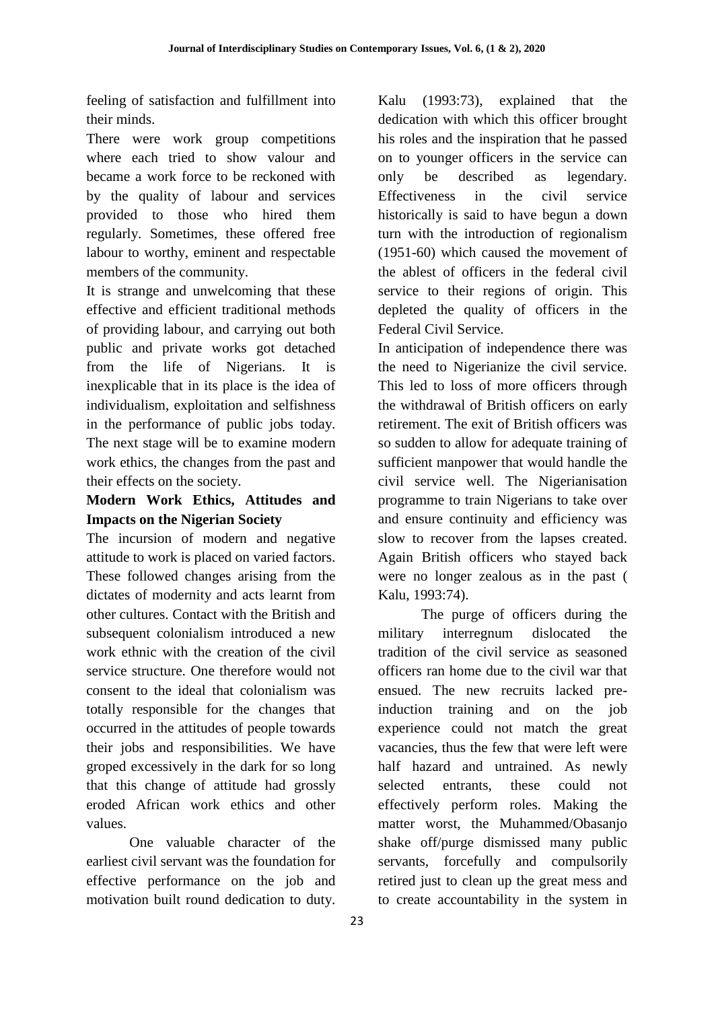feeling of satisfaction and fulfillment into their minds.

There were work group competitions where each tried to show valour and became a work force to be reckoned with by the quality of labour and services provided to those who hired them regularly. Sometimes, these offered free labour to worthy, eminent and respectable members of the community.

It is strange and unwelcoming that these effective and efficient traditional methods of providing labour, and carrying out both public and private works got detached from the life of Nigerians. It is inexplicable that in its place is the idea of individualism, exploitation and selfishness in the performance of public jobs today. The next stage will be to examine modern work ethics, the changes from the past and their effects on the society.

# **Modern Work Ethics, Attitudes and Impacts on the Nigerian Society**

The incursion of modern and negative attitude to work is placed on varied factors. These followed changes arising from the dictates of modernity and acts learnt from other cultures. Contact with the British and subsequent colonialism introduced a new work ethnic with the creation of the civil service structure. One therefore would not consent to the ideal that colonialism was totally responsible for the changes that occurred in the attitudes of people towards their jobs and responsibilities. We have groped excessively in the dark for so long that this change of attitude had grossly eroded African work ethics and other values.

One valuable character of the earliest civil servant was the foundation for effective performance on the job and motivation built round dedication to duty.

Kalu (1993:73), explained that the dedication with which this officer brought his roles and the inspiration that he passed on to younger officers in the service can only be described as legendary. Effectiveness in the civil service historically is said to have begun a down turn with the introduction of regionalism (1951-60) which caused the movement of the ablest of officers in the federal civil service to their regions of origin. This depleted the quality of officers in the Federal Civil Service.

In anticipation of independence there was the need to Nigerianize the civil service. This led to loss of more officers through the withdrawal of British officers on early retirement. The exit of British officers was so sudden to allow for adequate training of sufficient manpower that would handle the civil service well. The Nigerianisation programme to train Nigerians to take over and ensure continuity and efficiency was slow to recover from the lapses created. Again British officers who stayed back were no longer zealous as in the past ( Kalu, 1993:74).

The purge of officers during the military interregnum dislocated the tradition of the civil service as seasoned officers ran home due to the civil war that ensued. The new recruits lacked preinduction training and on the job experience could not match the great vacancies, thus the few that were left were half hazard and untrained. As newly selected entrants, these could not effectively perform roles. Making the matter worst, the Muhammed/Obasanjo shake off/purge dismissed many public servants, forcefully and compulsorily retired just to clean up the great mess and to create accountability in the system in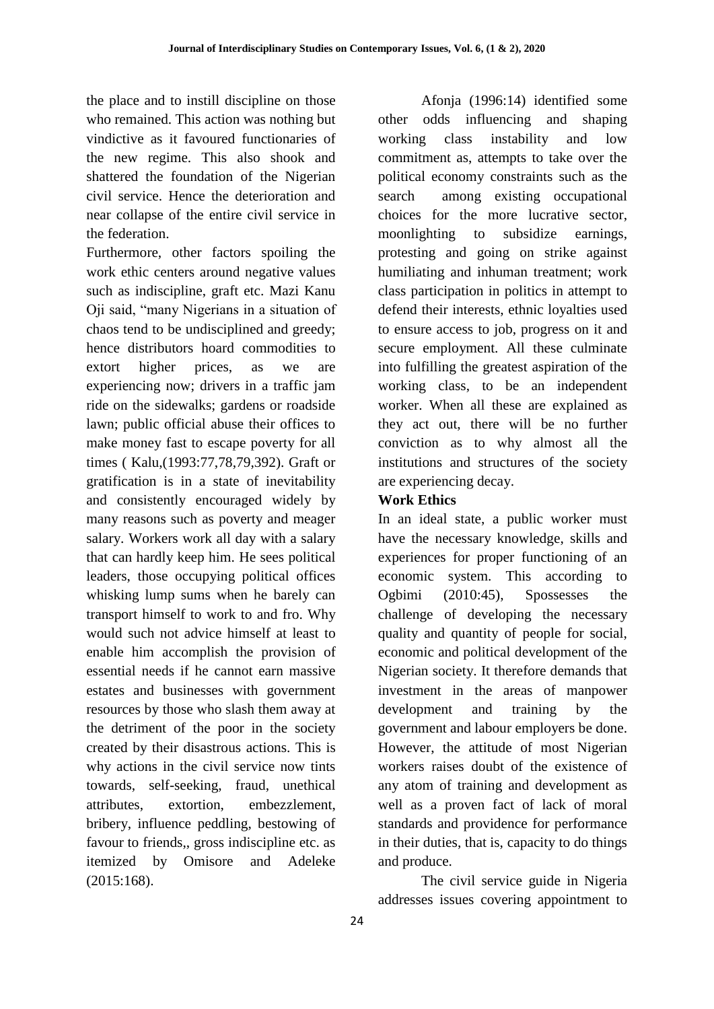the place and to instill discipline on those who remained. This action was nothing but vindictive as it favoured functionaries of the new regime. This also shook and shattered the foundation of the Nigerian civil service. Hence the deterioration and near collapse of the entire civil service in the federation.

Furthermore, other factors spoiling the work ethic centers around negative values such as indiscipline, graft etc. Mazi Kanu Oji said, "many Nigerians in a situation of chaos tend to be undisciplined and greedy; hence distributors hoard commodities to extort higher prices, as we are experiencing now; drivers in a traffic jam ride on the sidewalks; gardens or roadside lawn; public official abuse their offices to make money fast to escape poverty for all times ( Kalu,(1993:77,78,79,392). Graft or gratification is in a state of inevitability and consistently encouraged widely by many reasons such as poverty and meager salary. Workers work all day with a salary that can hardly keep him. He sees political leaders, those occupying political offices whisking lump sums when he barely can transport himself to work to and fro. Why would such not advice himself at least to enable him accomplish the provision of essential needs if he cannot earn massive estates and businesses with government resources by those who slash them away at the detriment of the poor in the society created by their disastrous actions. This is why actions in the civil service now tints towards, self-seeking, fraud, unethical attributes, extortion, embezzlement, bribery, influence peddling, bestowing of favour to friends,, gross indiscipline etc. as itemized by Omisore and Adeleke (2015:168).

Afonja (1996:14) identified some other odds influencing and shaping working class instability and low commitment as, attempts to take over the political economy constraints such as the search among existing occupational choices for the more lucrative sector, moonlighting to subsidize earnings, protesting and going on strike against humiliating and inhuman treatment; work class participation in politics in attempt to defend their interests, ethnic loyalties used to ensure access to job, progress on it and secure employment. All these culminate into fulfilling the greatest aspiration of the working class, to be an independent worker. When all these are explained as they act out, there will be no further conviction as to why almost all the institutions and structures of the society are experiencing decay.

### **Work Ethics**

In an ideal state, a public worker must have the necessary knowledge, skills and experiences for proper functioning of an economic system. This according to Ogbimi (2010:45), Spossesses the challenge of developing the necessary quality and quantity of people for social, economic and political development of the Nigerian society. It therefore demands that investment in the areas of manpower development and training by the government and labour employers be done. However, the attitude of most Nigerian workers raises doubt of the existence of any atom of training and development as well as a proven fact of lack of moral standards and providence for performance in their duties, that is, capacity to do things and produce.

The civil service guide in Nigeria addresses issues covering appointment to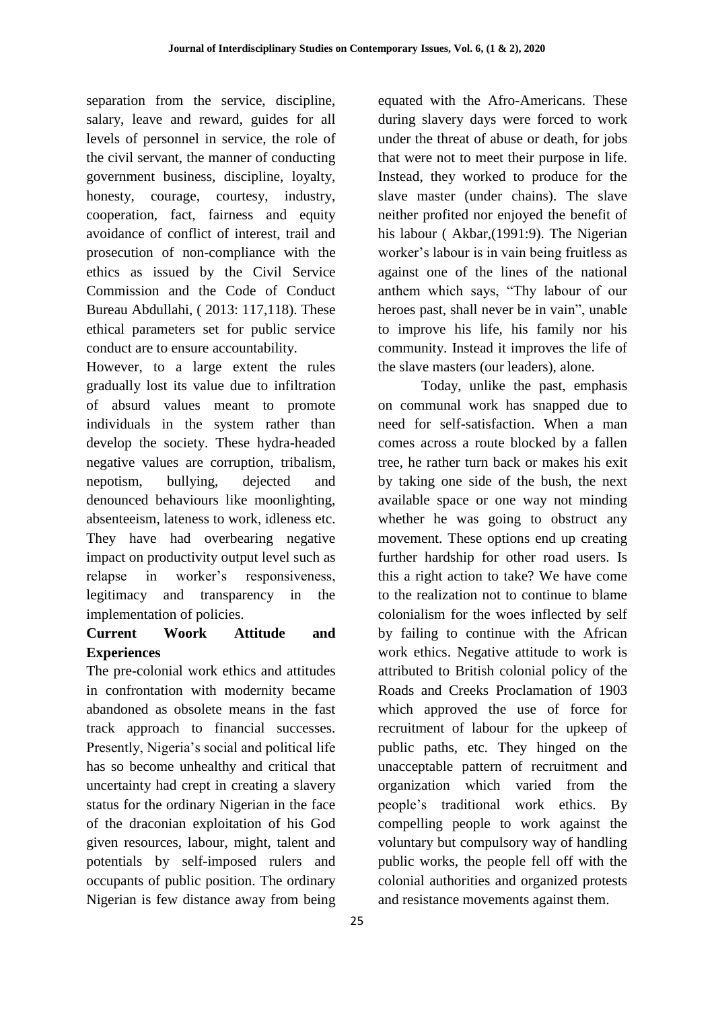separation from the service, discipline, salary, leave and reward, guides for all levels of personnel in service, the role of the civil servant, the manner of conducting government business, discipline, loyalty, honesty, courage, courtesy, industry, cooperation, fact, fairness and equity avoidance of conflict of interest, trail and prosecution of non-compliance with the ethics as issued by the Civil Service Commission and the Code of Conduct Bureau Abdullahi, ( 2013: 117,118). These ethical parameters set for public service conduct are to ensure accountability.

However, to a large extent the rules gradually lost its value due to infiltration of absurd values meant to promote individuals in the system rather than develop the society. These hydra-headed negative values are corruption, tribalism, nepotism, bullying, dejected and denounced behaviours like moonlighting, absenteeism, lateness to work, idleness etc. They have had overbearing negative impact on productivity output level such as relapse in worker"s responsiveness, legitimacy and transparency in the implementation of policies.

# **Current Woork Attitude and Experiences**

The pre-colonial work ethics and attitudes in confrontation with modernity became abandoned as obsolete means in the fast track approach to financial successes. Presently, Nigeria's social and political life has so become unhealthy and critical that uncertainty had crept in creating a slavery status for the ordinary Nigerian in the face of the draconian exploitation of his God given resources, labour, might, talent and potentials by self-imposed rulers and occupants of public position. The ordinary Nigerian is few distance away from being equated with the Afro-Americans. These during slavery days were forced to work under the threat of abuse or death, for jobs that were not to meet their purpose in life. Instead, they worked to produce for the slave master (under chains). The slave neither profited nor enjoyed the benefit of his labour ( Akbar,(1991:9). The Nigerian worker"s labour is in vain being fruitless as against one of the lines of the national anthem which says, "Thy labour of our heroes past, shall never be in vain", unable to improve his life, his family nor his community. Instead it improves the life of the slave masters (our leaders), alone.

Today, unlike the past, emphasis on communal work has snapped due to need for self-satisfaction. When a man comes across a route blocked by a fallen tree, he rather turn back or makes his exit by taking one side of the bush, the next available space or one way not minding whether he was going to obstruct any movement. These options end up creating further hardship for other road users. Is this a right action to take? We have come to the realization not to continue to blame colonialism for the woes inflected by self by failing to continue with the African work ethics. Negative attitude to work is attributed to British colonial policy of the Roads and Creeks Proclamation of 1903 which approved the use of force for recruitment of labour for the upkeep of public paths, etc. They hinged on the unacceptable pattern of recruitment and organization which varied from the people"s traditional work ethics. By compelling people to work against the voluntary but compulsory way of handling public works, the people fell off with the colonial authorities and organized protests and resistance movements against them.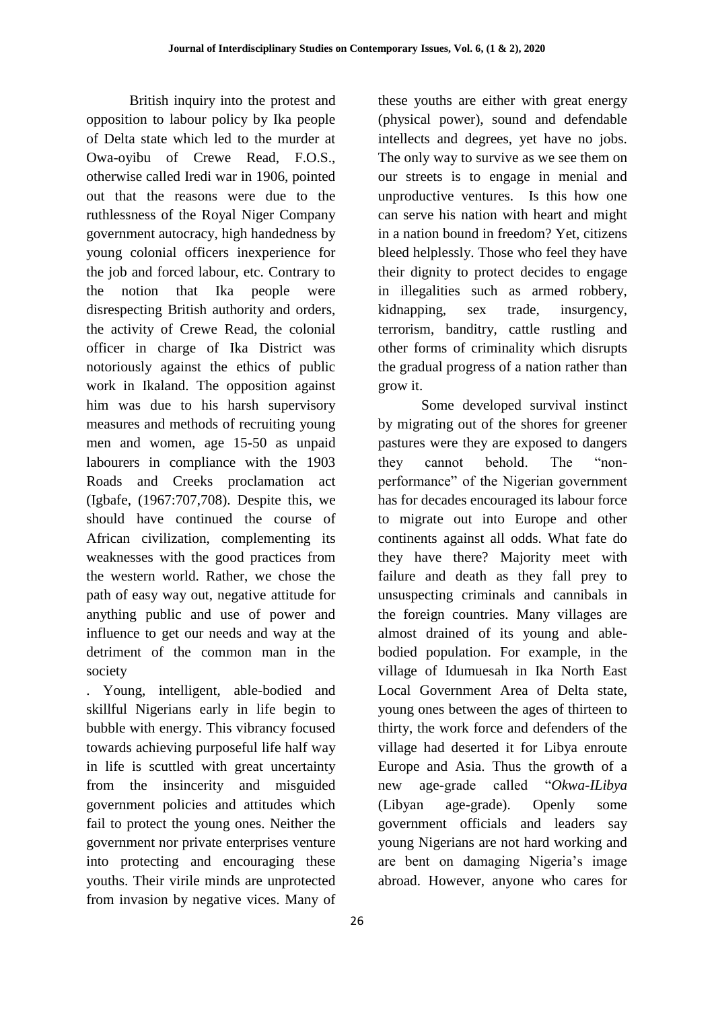British inquiry into the protest and opposition to labour policy by Ika people of Delta state which led to the murder at Owa-oyibu of Crewe Read, F.O.S., otherwise called Iredi war in 1906, pointed out that the reasons were due to the ruthlessness of the Royal Niger Company government autocracy, high handedness by young colonial officers inexperience for the job and forced labour, etc. Contrary to the notion that Ika people were disrespecting British authority and orders, the activity of Crewe Read, the colonial officer in charge of Ika District was notoriously against the ethics of public work in Ikaland. The opposition against him was due to his harsh supervisory measures and methods of recruiting young men and women, age 15-50 as unpaid labourers in compliance with the 1903 Roads and Creeks proclamation act (Igbafe, (1967:707,708). Despite this, we should have continued the course of African civilization, complementing its weaknesses with the good practices from the western world. Rather, we chose the path of easy way out, negative attitude for anything public and use of power and influence to get our needs and way at the detriment of the common man in the society

. Young, intelligent, able-bodied and skillful Nigerians early in life begin to bubble with energy. This vibrancy focused towards achieving purposeful life half way in life is scuttled with great uncertainty from the insincerity and misguided government policies and attitudes which fail to protect the young ones. Neither the government nor private enterprises venture into protecting and encouraging these youths. Their virile minds are unprotected from invasion by negative vices. Many of these youths are either with great energy (physical power), sound and defendable intellects and degrees, yet have no jobs. The only way to survive as we see them on our streets is to engage in menial and unproductive ventures. Is this how one can serve his nation with heart and might in a nation bound in freedom? Yet, citizens bleed helplessly. Those who feel they have their dignity to protect decides to engage in illegalities such as armed robbery, kidnapping, sex trade, insurgency, terrorism, banditry, cattle rustling and other forms of criminality which disrupts the gradual progress of a nation rather than grow it.

Some developed survival instinct by migrating out of the shores for greener pastures were they are exposed to dangers they cannot behold. The "nonperformance" of the Nigerian government has for decades encouraged its labour force to migrate out into Europe and other continents against all odds. What fate do they have there? Majority meet with failure and death as they fall prey to unsuspecting criminals and cannibals in the foreign countries. Many villages are almost drained of its young and ablebodied population. For example, in the village of Idumuesah in Ika North East Local Government Area of Delta state, young ones between the ages of thirteen to thirty, the work force and defenders of the village had deserted it for Libya enroute Europe and Asia. Thus the growth of a new age-grade called "*Okwa-ILibya* (Libyan age-grade). Openly some government officials and leaders say young Nigerians are not hard working and are bent on damaging Nigeria"s image abroad. However, anyone who cares for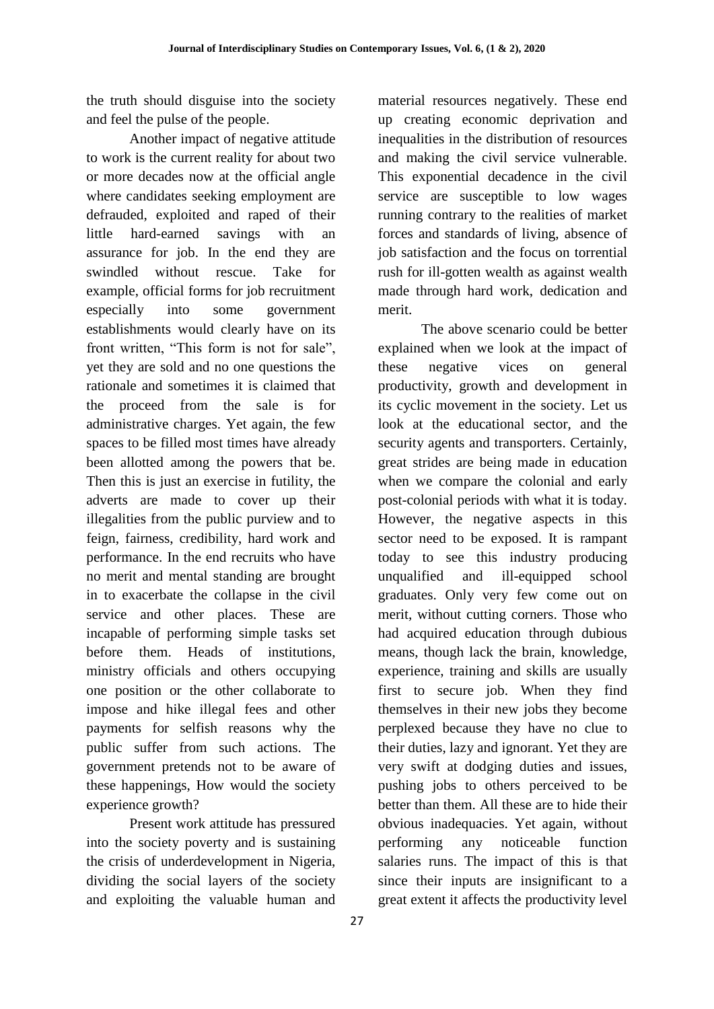the truth should disguise into the society and feel the pulse of the people.

Another impact of negative attitude to work is the current reality for about two or more decades now at the official angle where candidates seeking employment are defrauded, exploited and raped of their little hard-earned savings with an assurance for job. In the end they are swindled without rescue. Take for example, official forms for job recruitment especially into some government establishments would clearly have on its front written, "This form is not for sale", yet they are sold and no one questions the rationale and sometimes it is claimed that the proceed from the sale is for administrative charges. Yet again, the few spaces to be filled most times have already been allotted among the powers that be. Then this is just an exercise in futility, the adverts are made to cover up their illegalities from the public purview and to feign, fairness, credibility, hard work and performance. In the end recruits who have no merit and mental standing are brought in to exacerbate the collapse in the civil service and other places. These are incapable of performing simple tasks set before them. Heads of institutions, ministry officials and others occupying one position or the other collaborate to impose and hike illegal fees and other payments for selfish reasons why the public suffer from such actions. The government pretends not to be aware of these happenings, How would the society experience growth?

Present work attitude has pressured into the society poverty and is sustaining the crisis of underdevelopment in Nigeria, dividing the social layers of the society and exploiting the valuable human and

material resources negatively. These end up creating economic deprivation and inequalities in the distribution of resources and making the civil service vulnerable. This exponential decadence in the civil service are susceptible to low wages running contrary to the realities of market forces and standards of living, absence of job satisfaction and the focus on torrential rush for ill-gotten wealth as against wealth made through hard work, dedication and merit.

The above scenario could be better explained when we look at the impact of these negative vices on general productivity, growth and development in its cyclic movement in the society. Let us look at the educational sector, and the security agents and transporters. Certainly, great strides are being made in education when we compare the colonial and early post-colonial periods with what it is today. However, the negative aspects in this sector need to be exposed. It is rampant today to see this industry producing unqualified and ill-equipped school graduates. Only very few come out on merit, without cutting corners. Those who had acquired education through dubious means, though lack the brain, knowledge, experience, training and skills are usually first to secure job. When they find themselves in their new jobs they become perplexed because they have no clue to their duties, lazy and ignorant. Yet they are very swift at dodging duties and issues, pushing jobs to others perceived to be better than them. All these are to hide their obvious inadequacies. Yet again, without performing any noticeable function salaries runs. The impact of this is that since their inputs are insignificant to a great extent it affects the productivity level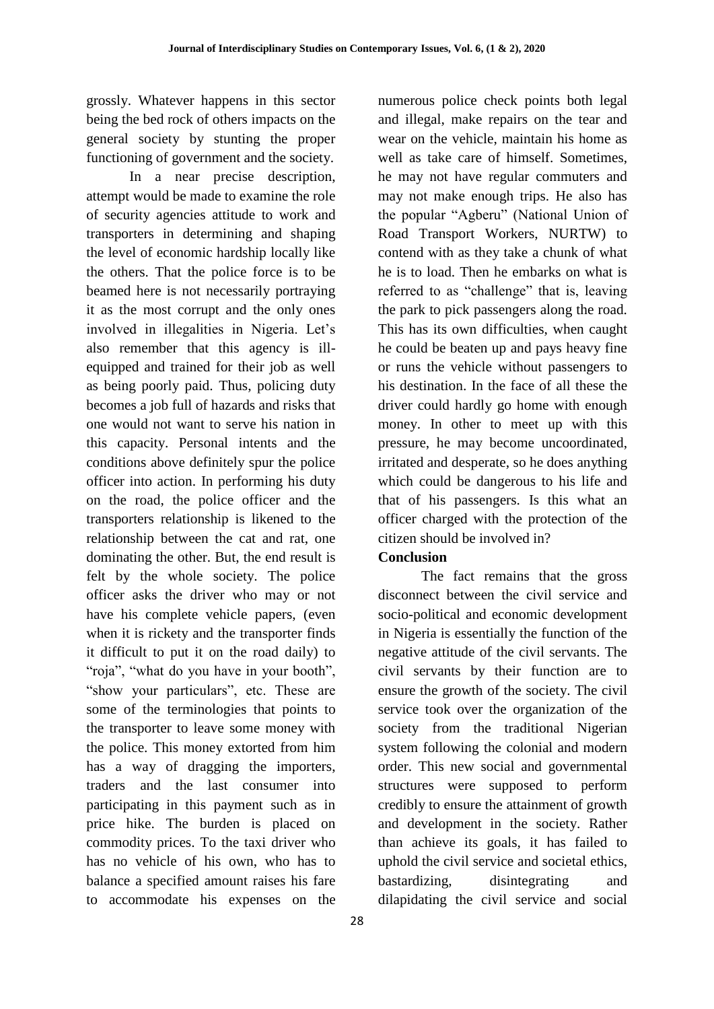grossly. Whatever happens in this sector being the bed rock of others impacts on the general society by stunting the proper functioning of government and the society.

In a near precise description, attempt would be made to examine the role of security agencies attitude to work and transporters in determining and shaping the level of economic hardship locally like the others. That the police force is to be beamed here is not necessarily portraying it as the most corrupt and the only ones involved in illegalities in Nigeria. Let's also remember that this agency is illequipped and trained for their job as well as being poorly paid. Thus, policing duty becomes a job full of hazards and risks that one would not want to serve his nation in this capacity. Personal intents and the conditions above definitely spur the police officer into action. In performing his duty on the road, the police officer and the transporters relationship is likened to the relationship between the cat and rat, one dominating the other. But, the end result is felt by the whole society. The police officer asks the driver who may or not have his complete vehicle papers, (even when it is rickety and the transporter finds it difficult to put it on the road daily) to "roja", "what do you have in your booth", "show your particulars", etc. These are some of the terminologies that points to the transporter to leave some money with the police. This money extorted from him has a way of dragging the importers, traders and the last consumer into participating in this payment such as in price hike. The burden is placed on commodity prices. To the taxi driver who has no vehicle of his own, who has to balance a specified amount raises his fare to accommodate his expenses on the

numerous police check points both legal and illegal, make repairs on the tear and wear on the vehicle, maintain his home as well as take care of himself. Sometimes, he may not have regular commuters and may not make enough trips. He also has the popular "Agberu" (National Union of Road Transport Workers, NURTW) to contend with as they take a chunk of what he is to load. Then he embarks on what is referred to as "challenge" that is, leaving the park to pick passengers along the road. This has its own difficulties, when caught he could be beaten up and pays heavy fine or runs the vehicle without passengers to his destination. In the face of all these the driver could hardly go home with enough money. In other to meet up with this pressure, he may become uncoordinated, irritated and desperate, so he does anything which could be dangerous to his life and that of his passengers. Is this what an officer charged with the protection of the citizen should be involved in?

### **Conclusion**

The fact remains that the gross disconnect between the civil service and socio-political and economic development in Nigeria is essentially the function of the negative attitude of the civil servants. The civil servants by their function are to ensure the growth of the society. The civil service took over the organization of the society from the traditional Nigerian system following the colonial and modern order. This new social and governmental structures were supposed to perform credibly to ensure the attainment of growth and development in the society. Rather than achieve its goals, it has failed to uphold the civil service and societal ethics, bastardizing, disintegrating and dilapidating the civil service and social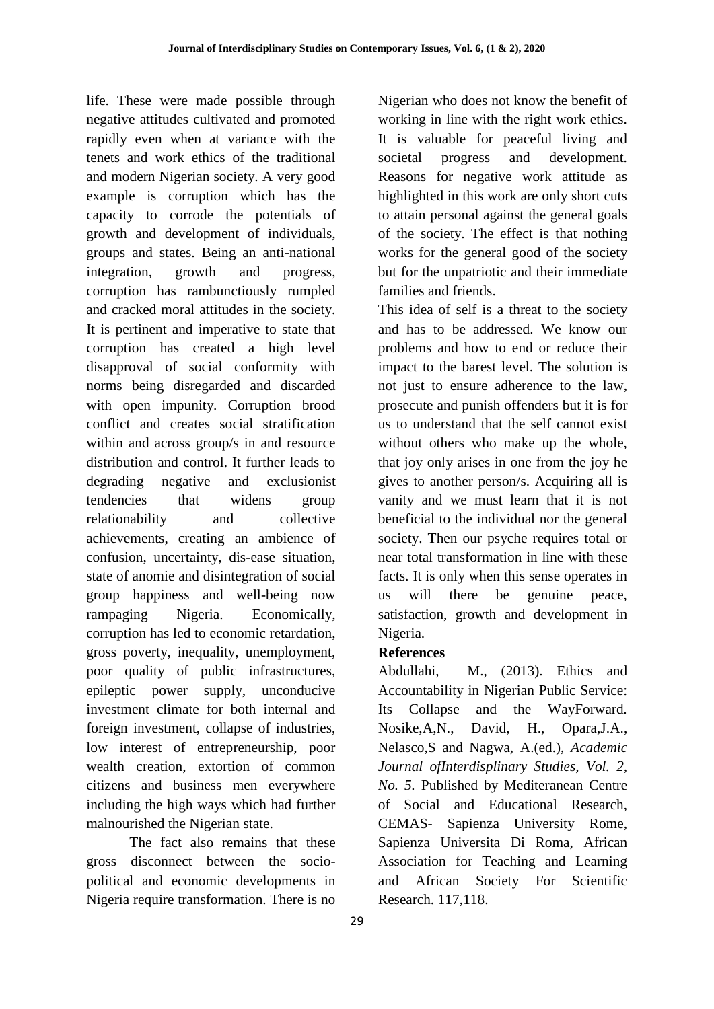life. These were made possible through negative attitudes cultivated and promoted rapidly even when at variance with the tenets and work ethics of the traditional and modern Nigerian society. A very good example is corruption which has the capacity to corrode the potentials of growth and development of individuals, groups and states. Being an anti-national integration, growth and progress, corruption has rambunctiously rumpled and cracked moral attitudes in the society. It is pertinent and imperative to state that corruption has created a high level disapproval of social conformity with norms being disregarded and discarded with open impunity. Corruption brood conflict and creates social stratification within and across group/s in and resource distribution and control. It further leads to degrading negative and exclusionist tendencies that widens group relationability and collective achievements, creating an ambience of confusion, uncertainty, dis-ease situation, state of anomie and disintegration of social group happiness and well-being now rampaging Nigeria. Economically, corruption has led to economic retardation, gross poverty, inequality, unemployment, poor quality of public infrastructures, epileptic power supply, unconducive investment climate for both internal and foreign investment, collapse of industries, low interest of entrepreneurship, poor wealth creation, extortion of common citizens and business men everywhere including the high ways which had further malnourished the Nigerian state.

The fact also remains that these gross disconnect between the sociopolitical and economic developments in Nigeria require transformation. There is no

29

Nigerian who does not know the benefit of working in line with the right work ethics. It is valuable for peaceful living and societal progress and development. Reasons for negative work attitude as highlighted in this work are only short cuts to attain personal against the general goals of the society. The effect is that nothing works for the general good of the society but for the unpatriotic and their immediate families and friends.

This idea of self is a threat to the society and has to be addressed. We know our problems and how to end or reduce their impact to the barest level. The solution is not just to ensure adherence to the law, prosecute and punish offenders but it is for us to understand that the self cannot exist without others who make up the whole, that joy only arises in one from the joy he gives to another person/s. Acquiring all is vanity and we must learn that it is not beneficial to the individual nor the general society. Then our psyche requires total or near total transformation in line with these facts. It is only when this sense operates in us will there be genuine peace, satisfaction, growth and development in Nigeria.

## **References**

Abdullahi, M., (2013). Ethics and Accountability in Nigerian Public Service: Its Collapse and the WayForward*.*  Nosike,A,N., David, H., Opara,J.A., Nelasco,S and Nagwa, A.(ed.), *Academic Journal ofInterdisplinary Studies, Vol. 2, No. 5.* Published by Mediteranean Centre of Social and Educational Research, CEMAS- Sapienza University Rome, Sapienza Universita Di Roma, African Association for Teaching and Learning and African Society For Scientific Research. 117,118.